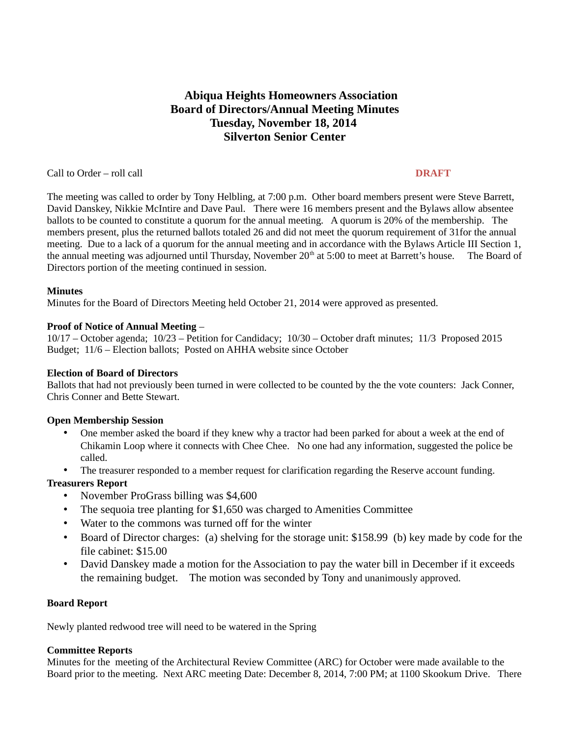# **Abiqua Heights Homeowners Association Board of Directors/Annual Meeting Minutes Tuesday, November 18, 2014 Silverton Senior Center**

Call to Order – roll call **DRAFT**

The meeting was called to order by Tony Helbling, at 7:00 p.m. Other board members present were Steve Barrett, David Danskey, Nikkie McIntire and Dave Paul.There were 16 members present and the Bylaws allow absentee ballots to be counted to constitute a quorum for the annual meeting. A quorum is 20% of the membership. The members present, plus the returned ballots totaled 26 and did not meet the quorum requirement of 31for the annual meeting. Due to a lack of a quorum for the annual meeting and in accordance with the Bylaws Article III Section 1, the annual meeting was adjourned until Thursday, November 20<sup>th</sup> at 5:00 to meet at Barrett's house. The Board of Directors portion of the meeting continued in session.

# **Minutes**

Minutes for the Board of Directors Meeting held October 21, 2014 were approved as presented.

# **Proof of Notice of Annual Meeting** –

10/17 – October agenda; 10/23 – Petition for Candidacy; 10/30 – October draft minutes; 11/3 Proposed 2015 Budget; 11/6 – Election ballots; Posted on AHHA website since October

# **Election of Board of Directors**

Ballots that had not previously been turned in were collected to be counted by the the vote counters: Jack Conner, Chris Conner and Bette Stewart.

# **Open Membership Session**

- One member asked the board if they knew why a tractor had been parked for about a week at the end of Chikamin Loop where it connects with Chee Chee. No one had any information, suggested the police be called.
- The treasurer responded to a member request for clarification regarding the Reserve account funding.

# **Treasurers Report**

- November ProGrass billing was \$4,600
- The sequoia tree planting for \$1,650 was charged to Amenities Committee
- Water to the commons was turned off for the winter
- Board of Director charges: (a) shelving for the storage unit: \$158.99 (b) key made by code for the file cabinet: \$15.00
- David Danskey made a motion for the Association to pay the water bill in December if it exceeds the remaining budget. The motion was seconded by Tony and unanimously approved.

#### **Board Report**

Newly planted redwood tree will need to be watered in the Spring

#### **Committee Reports**

Minutes for the meeting of the Architectural Review Committee (ARC) for October were made available to the Board prior to the meeting. Next ARC meeting Date: December 8, 2014, 7:00 PM; at 1100 Skookum Drive. There